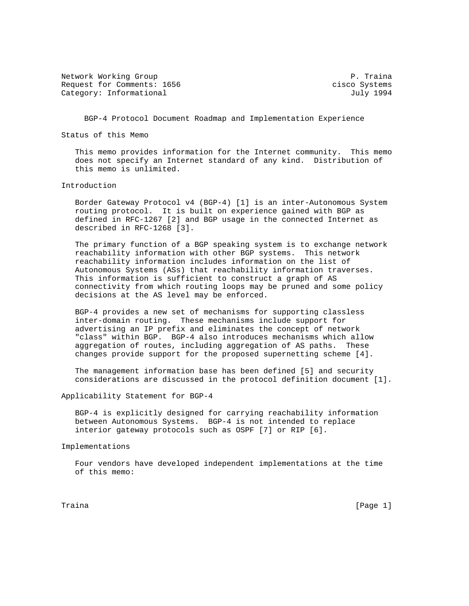Network Working Group **P. The Community Community** P. Traina Request for Comments: 1656 cisco Systems Category: Informational and Indianal July 1994

BGP-4 Protocol Document Roadmap and Implementation Experience

Status of this Memo

 This memo provides information for the Internet community. This memo does not specify an Internet standard of any kind. Distribution of this memo is unlimited.

Introduction

 Border Gateway Protocol v4 (BGP-4) [1] is an inter-Autonomous System routing protocol. It is built on experience gained with BGP as defined in RFC-1267 [2] and BGP usage in the connected Internet as described in RFC-1268 [3].

 The primary function of a BGP speaking system is to exchange network reachability information with other BGP systems. This network reachability information includes information on the list of Autonomous Systems (ASs) that reachability information traverses. This information is sufficient to construct a graph of AS connectivity from which routing loops may be pruned and some policy decisions at the AS level may be enforced.

 BGP-4 provides a new set of mechanisms for supporting classless inter-domain routing. These mechanisms include support for advertising an IP prefix and eliminates the concept of network "class" within BGP. BGP-4 also introduces mechanisms which allow aggregation of routes, including aggregation of AS paths. These changes provide support for the proposed supernetting scheme [4].

 The management information base has been defined [5] and security considerations are discussed in the protocol definition document [1].

Applicability Statement for BGP-4

 BGP-4 is explicitly designed for carrying reachability information between Autonomous Systems. BGP-4 is not intended to replace interior gateway protocols such as OSPF [7] or RIP [6].

Implementations

 Four vendors have developed independent implementations at the time of this memo:

Traina [Page 1]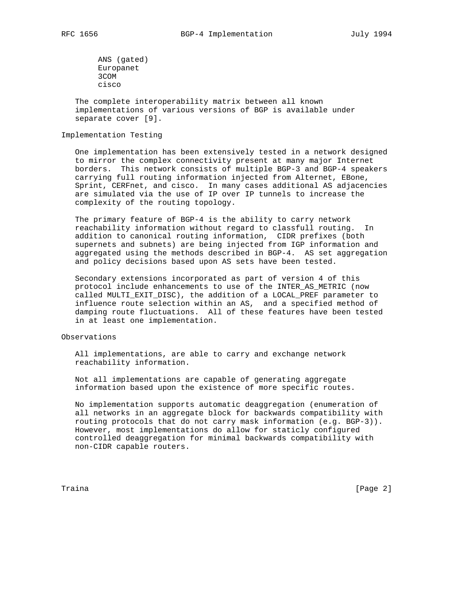ANS (gated) Europanet 3COM cisco

 The complete interoperability matrix between all known implementations of various versions of BGP is available under separate cover [9].

# Implementation Testing

 One implementation has been extensively tested in a network designed to mirror the complex connectivity present at many major Internet borders. This network consists of multiple BGP-3 and BGP-4 speakers carrying full routing information injected from Alternet, EBone, Sprint, CERFnet, and cisco. In many cases additional AS adjacencies are simulated via the use of IP over IP tunnels to increase the complexity of the routing topology.

 The primary feature of BGP-4 is the ability to carry network reachability information without regard to classfull routing. In addition to canonical routing information, CIDR prefixes (both supernets and subnets) are being injected from IGP information and aggregated using the methods described in BGP-4. AS set aggregation and policy decisions based upon AS sets have been tested.

 Secondary extensions incorporated as part of version 4 of this protocol include enhancements to use of the INTER\_AS\_METRIC (now called MULTI\_EXIT\_DISC), the addition of a LOCAL\_PREF parameter to influence route selection within an AS, and a specified method of damping route fluctuations. All of these features have been tested in at least one implementation.

## Observations

 All implementations, are able to carry and exchange network reachability information.

 Not all implementations are capable of generating aggregate information based upon the existence of more specific routes.

 No implementation supports automatic deaggregation (enumeration of all networks in an aggregate block for backwards compatibility with routing protocols that do not carry mask information (e.g. BGP-3)). However, most implementations do allow for staticly configured controlled deaggregation for minimal backwards compatibility with non-CIDR capable routers.

Traina [Page 2]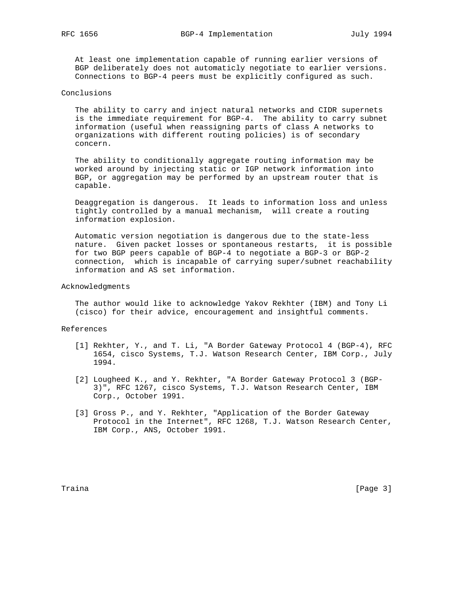At least one implementation capable of running earlier versions of BGP deliberately does not automaticly negotiate to earlier versions. Connections to BGP-4 peers must be explicitly configured as such.

## Conclusions

 The ability to carry and inject natural networks and CIDR supernets is the immediate requirement for BGP-4. The ability to carry subnet information (useful when reassigning parts of class A networks to organizations with different routing policies) is of secondary concern.

 The ability to conditionally aggregate routing information may be worked around by injecting static or IGP network information into BGP, or aggregation may be performed by an upstream router that is capable.

 Deaggregation is dangerous. It leads to information loss and unless tightly controlled by a manual mechanism, will create a routing information explosion.

 Automatic version negotiation is dangerous due to the state-less nature. Given packet losses or spontaneous restarts, it is possible for two BGP peers capable of BGP-4 to negotiate a BGP-3 or BGP-2 connection, which is incapable of carrying super/subnet reachability information and AS set information.

## Acknowledgments

 The author would like to acknowledge Yakov Rekhter (IBM) and Tony Li (cisco) for their advice, encouragement and insightful comments.

#### References

- [1] Rekhter, Y., and T. Li, "A Border Gateway Protocol 4 (BGP-4), RFC 1654, cisco Systems, T.J. Watson Research Center, IBM Corp., July 1994.
- [2] Lougheed K., and Y. Rekhter, "A Border Gateway Protocol 3 (BGP- 3)", RFC 1267, cisco Systems, T.J. Watson Research Center, IBM Corp., October 1991.
- [3] Gross P., and Y. Rekhter, "Application of the Border Gateway Protocol in the Internet", RFC 1268, T.J. Watson Research Center, IBM Corp., ANS, October 1991.

Traina [Page 3]